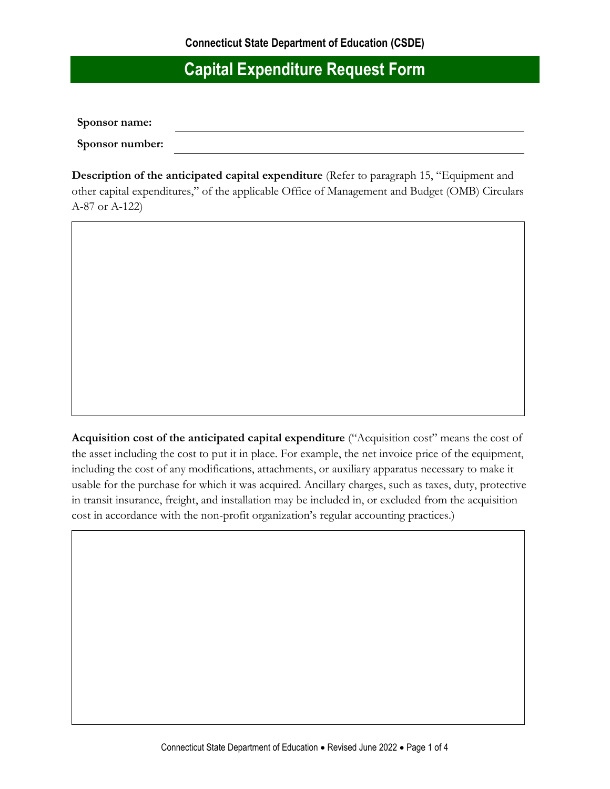**Sponsor name:**

**Sponsor number:**

**Description of the anticipated capital expenditure** (Refer to paragraph 15, "Equipment and other capital expenditures," of the applicable Office of Management and Budget (OMB) Circulars A-87 or A-122)

**Acquisition cost of the anticipated capital expenditure** ("Acquisition cost" means the cost of the asset including the cost to put it in place. For example, the net invoice price of the equipment, including the cost of any modifications, attachments, or auxiliary apparatus necessary to make it usable for the purchase for which it was acquired. Ancillary charges, such as taxes, duty, protective in transit insurance, freight, and installation may be included in, or excluded from the acquisition cost in accordance with the non-profit organization's regular accounting practices.)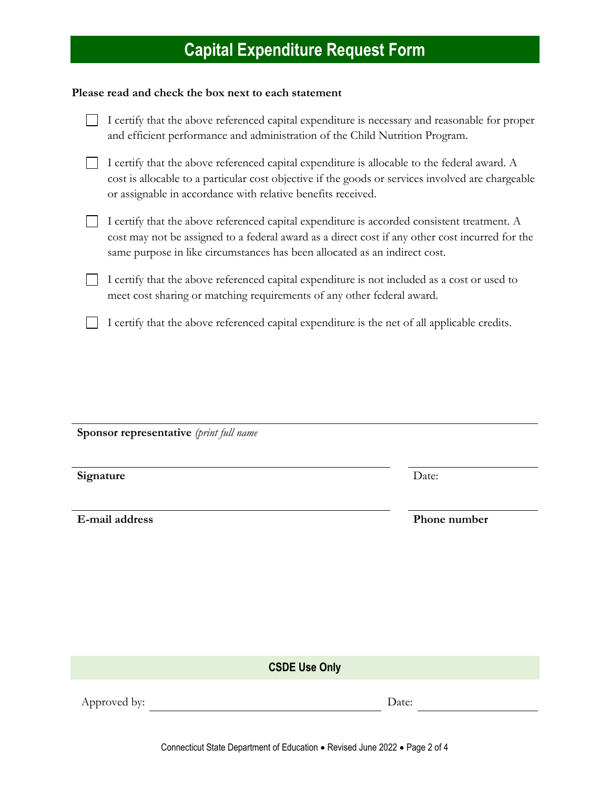#### **Please read and check the box next to each statement**

| I certify that the above referenced capital expenditure is necessary and reasonable for proper<br>and efficient performance and administration of the Child Nutrition Program.                                                                                               |
|------------------------------------------------------------------------------------------------------------------------------------------------------------------------------------------------------------------------------------------------------------------------------|
| I certify that the above referenced capital expenditure is allocable to the federal award. A<br>cost is allocable to a particular cost objective if the goods or services involved are chargeable<br>or assignable in accordance with relative benefits received.            |
| I certify that the above referenced capital expenditure is accorded consistent treatment. A<br>cost may not be assigned to a federal award as a direct cost if any other cost incurred for the<br>same purpose in like circumstances has been allocated as an indirect cost. |
| I certify that the above referenced capital expenditure is not included as a cost or used to<br>meet cost sharing or matching requirements of any other federal award.                                                                                                       |
| I certify that the above referenced capital expenditure is the net of all applicable credits.                                                                                                                                                                                |

| Sponsor representative (print full name |              |  |  |
|-----------------------------------------|--------------|--|--|
| Signature                               | Date:        |  |  |
| E-mail address                          | Phone number |  |  |

**CSDE Use Only**

Approved by: Date: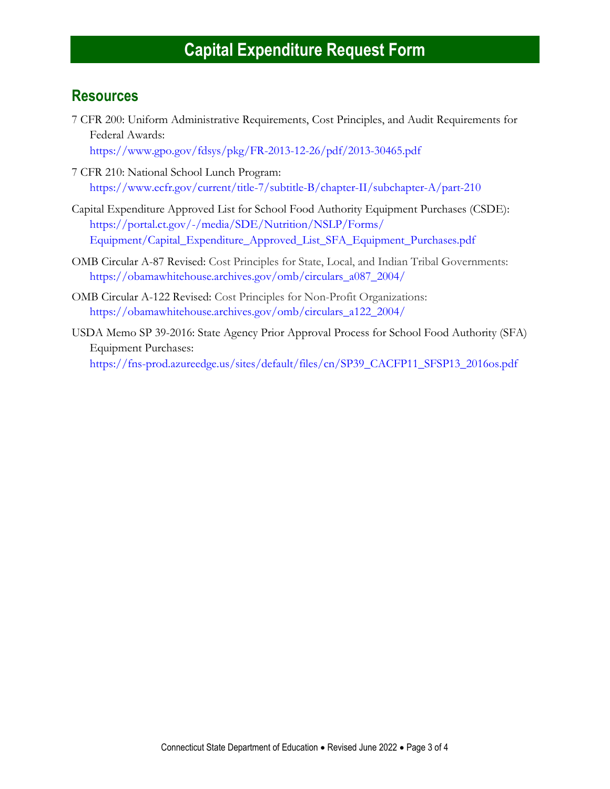#### **Resources**

- 7 CFR 200: Uniform Administrative Requirements, Cost Principles, and Audit Requirements for Federal Awards: <https://www.gpo.gov/fdsys/pkg/FR-2013-12-26/pdf/2013-30465.pdf>
- 7 CFR 210: National School Lunch Program:
	- <https://www.ecfr.gov/current/title-7/subtitle-B/chapter-II/subchapter-A/part-210>
- Capital Expenditure Approved List for School Food Authority Equipment Purchases (CSDE): [https://portal.ct.gov/-/media/SDE/Nutrition/NSLP/Forms/](https://portal.ct.gov/-/media/SDE/Nutrition/NSLP/Forms/Equipment/Capital_Expenditure_Approved_List_SFA_Equipment_Purchases.pdf) [Equipment/Capital\\_Expenditure\\_Approved\\_List\\_SFA\\_Equipment\\_Purchases.pdf](https://portal.ct.gov/-/media/SDE/Nutrition/NSLP/Forms/Equipment/Capital_Expenditure_Approved_List_SFA_Equipment_Purchases.pdf)
- OMB Circular A-87 Revised: Cost Principles for State, Local, and Indian Tribal Governments: [https://obamawhitehouse.archives.gov/omb/circulars\\_a087\\_2004/](https://obamawhitehouse.archives.gov/omb/circulars_a087_2004/)
- OMB Circular A-122 Revised: Cost Principles for Non-Profit Organizations: [https://obamawhitehouse.archives.gov/omb/circulars\\_a122\\_2004/](https://obamawhitehouse.archives.gov/omb/circulars_a122_2004/)
- USDA Memo SP 39-2016: State Agency Prior Approval Process for School Food Authority (SFA) Equipment Purchases: [https://fns-prod.azureedge.us/sites/default/files/cn/SP39\\_CACFP11\\_SFSP13\\_2016os.pdf](https://fns-prod.azureedge.us/sites/default/files/cn/SP39_CACFP11_SFSP13_2016os.pdf)